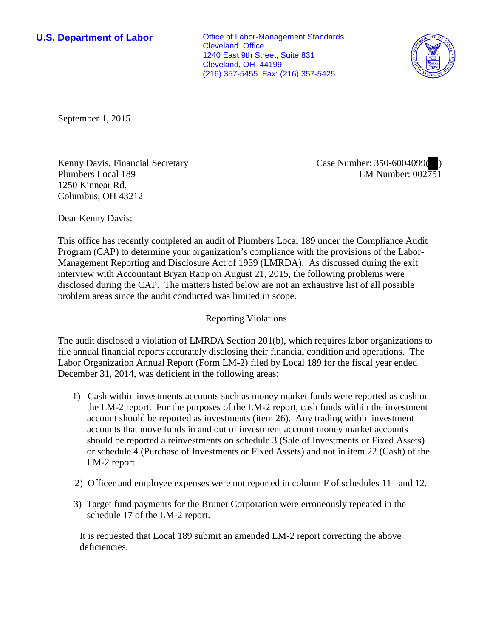**U.S. Department of Labor Conservative Conservative Conservative Conservative Conservative Conservative Conservative Conservative Conservative Conservative Conservative Conservative Conservative Conservative Conservative** Cleveland Office 1240 East 9th Street, Suite 831 Cleveland, OH 44199 (216) 357-5455 Fax: (216) 357-5425



September 1, 2015

Kenny Davis, Financial Secretary Plumbers Local 189 1250 Kinnear Rd. Columbus, OH 43212

Case Number: 350-6004099( ) LM Number: 002751

Dear Kenny Davis:

This office has recently completed an audit of Plumbers Local 189 under the Compliance Audit Program (CAP) to determine your organization's compliance with the provisions of the Labor-Management Reporting and Disclosure Act of 1959 (LMRDA). As discussed during the exit interview with Accountant Bryan Rapp on August 21, 2015, the following problems were disclosed during the CAP. The matters listed below are not an exhaustive list of all possible problem areas since the audit conducted was limited in scope.

## Reporting Violations

The audit disclosed a violation of LMRDA Section 201(b), which requires labor organizations to file annual financial reports accurately disclosing their financial condition and operations. The Labor Organization Annual Report (Form LM-2) filed by Local 189 for the fiscal year ended December 31, 2014, was deficient in the following areas:

- 1) Cash within investments accounts such as money market funds were reported as cash on the LM-2 report. For the purposes of the LM-2 report, cash funds within the investment account should be reported as investments (item 26). Any trading within investment accounts that move funds in and out of investment account money market accounts should be reported a reinvestments on schedule 3 (Sale of Investments or Fixed Assets) or schedule 4 (Purchase of Investments or Fixed Assets) and not in item 22 (Cash) of the LM-2 report.
- 2) Officer and employee expenses were not reported in column F of schedules 11 and 12.
- 3) Target fund payments for the Bruner Corporation were erroneously repeated in the schedule 17 of the LM-2 report.

It is requested that Local 189 submit an amended LM-2 report correcting the above deficiencies.